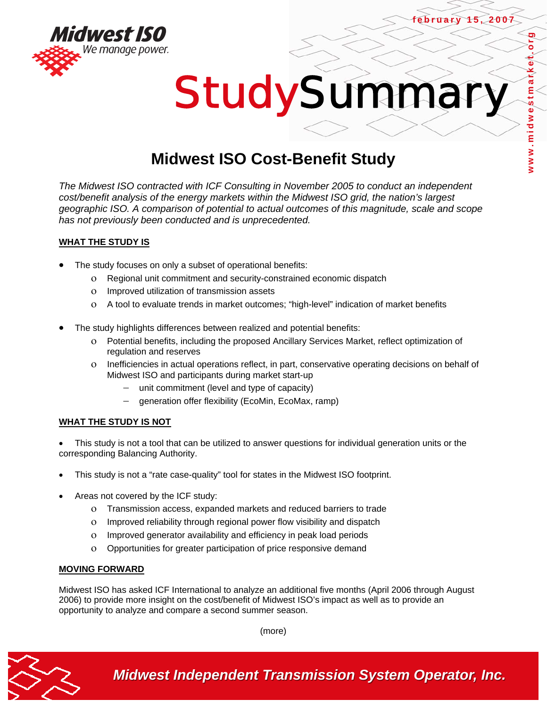



# **Midwest ISO Cost-Benefit Study**

*The Midwest ISO contracted with ICF Consulting in November 2005 to conduct an independent cost/benefit analysis of the energy markets within the Midwest ISO grid, the nation's largest geographic ISO. A comparison of potential to actual outcomes of this magnitude, scale and scope has not previously been conducted and is unprecedented.* 

# **WHAT THE STUDY IS**

- The study focuses on only a subset of operational benefits:
	- ο Regional unit commitment and security-constrained economic dispatch
	- ο Improved utilization of transmission assets
	- ο A tool to evaluate trends in market outcomes; "high-level" indication of market benefits
- The study highlights differences between realized and potential benefits:
	- ο Potential benefits, including the proposed Ancillary Services Market, reflect optimization of regulation and reserves
	- ο Inefficiencies in actual operations reflect, in part, conservative operating decisions on behalf of Midwest ISO and participants during market start-up
		- unit commitment (level and type of capacity)
		- − generation offer flexibility (EcoMin, EcoMax, ramp)

# **WHAT THE STUDY IS NOT**

This study is not a tool that can be utilized to answer questions for individual generation units or the corresponding Balancing Authority.

- This study is not a "rate case-quality" tool for states in the Midwest ISO footprint.
- Areas not covered by the ICF study:
	- ο Transmission access, expanded markets and reduced barriers to trade
	- ο Improved reliability through regional power flow visibility and dispatch
	- ο Improved generator availability and efficiency in peak load periods
	- ο Opportunities for greater participation of price responsive demand

#### **MOVING FORWARD**

Midwest ISO has asked ICF International to analyze an additional five months (April 2006 through August 2006) to provide more insight on the cost/benefit of Midwest ISO's impact as well as to provide an opportunity to analyze and compare a second summer season.

(more)



*Midwest Independent Transmission System Operator, Inc.* 

Ō

**february 15, 2007**